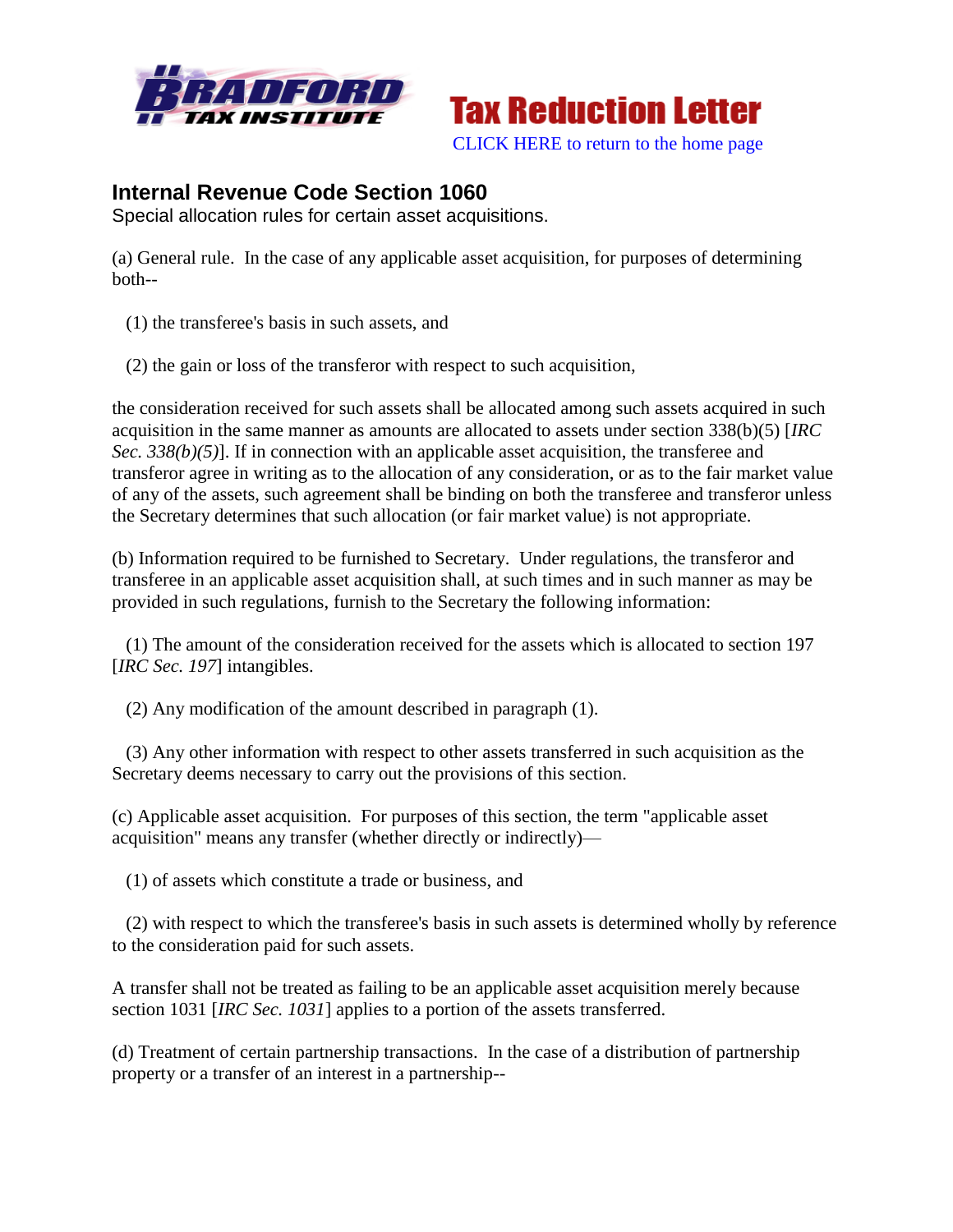



## **Internal Revenue Code Section 1060**

Special allocation rules for certain asset acquisitions.

(a) General rule. In the case of any applicable asset acquisition, for purposes of determining both--

- (1) the transferee's basis in such assets, and
- (2) the gain or loss of the transferor with respect to such acquisition,

the consideration received for such assets shall be allocated among such assets acquired in such acquisition in the same manner as amounts are allocated to assets under section 338(b)(5) [*IRC Sec.* 338(b)(5)]. If in connection with an applicable asset acquisition, the transferee and transferor agree in writing as to the allocation of any consideration, or as to the fair market value of any of the assets, such agreement shall be binding on both the transferee and transferor unless the Secretary determines that such allocation (or fair market value) is not appropriate.

(b) Information required to be furnished to Secretary. Under regulations, the transferor and transferee in an applicable asset acquisition shall, at such times and in such manner as may be provided in such regulations, furnish to the Secretary the following information:

 (1) The amount of the consideration received for the assets which is allocated to section 197 [*IRC Sec. 197*] intangibles.

(2) Any modification of the amount described in paragraph (1).

 (3) Any other information with respect to other assets transferred in such acquisition as the Secretary deems necessary to carry out the provisions of this section.

(c) Applicable asset acquisition. For purposes of this section, the term "applicable asset acquisition" means any transfer (whether directly or indirectly)—

(1) of assets which constitute a trade or business, and

 (2) with respect to which the transferee's basis in such assets is determined wholly by reference to the consideration paid for such assets.

A transfer shall not be treated as failing to be an applicable asset acquisition merely because section 1031 [*IRC Sec. 1031*] applies to a portion of the assets transferred.

(d) Treatment of certain partnership transactions. In the case of a distribution of partnership property or a transfer of an interest in a partnership--